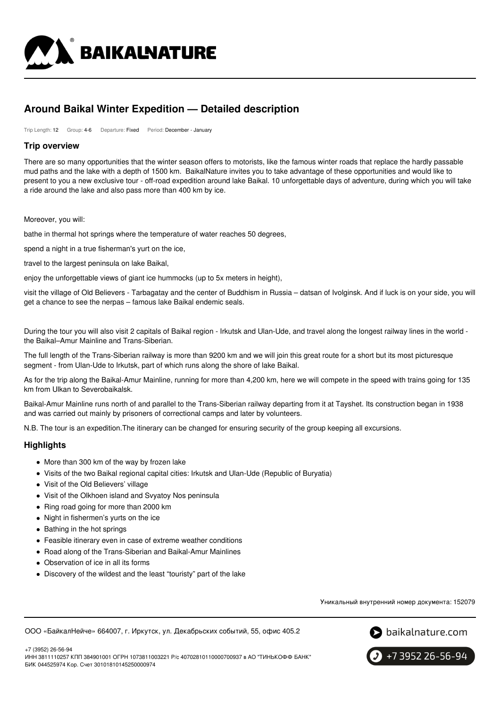

# **Around Baikal Winter Expedition — Detailed description**

Trip Length: 12 Group: 4-6 Departure: Fixed Period: December - January

# **Trip overview**

There are so many opportunities that the winter season offers to motorists, like the famous winter roads that replace the hardly passable mud paths and the lake with a depth of 1500 km. BaikalNature invites you to take advantage of these opportunities and would like to present to you a new exclusive tour - off-road expedition around lake Baikal. 10 unforgettable days of adventure, during which you will take a ride around the lake and also pass more than 400 km by ice.

Moreover, you will:

bathe in thermal hot springs where the temperature of water reaches 50 degrees,

spend a night in a true fisherman's yurt on the ice,

travel to the largest peninsula on lake Baikal,

enjoy the unforgettable views of giant ice hummocks (up to 5x meters in height),

visit the village of Old Believers - Tarbagatay and the center of Buddhism in Russia – datsan of Ivolginsk. And if luck is on your side, you will get a chance to see the nerpas – famous lake Baikal endemic seals.

During the tour you will also visit 2 capitals of Baikal region - Irkutsk and Ulan-Ude, and travel along the longest railway lines in the world the Baikal–Amur Mainline and Trans-Siberian.

The full length of the Trans-Siberian railway is more than 9200 km and we will join this great route for a short but its most picturesque segment - from Ulan-Ude to Irkutsk, part of which runs along the shore of lake Baikal.

As for the trip along the Baikal-Amur Mainline, running for more than 4,200 km, here we will compete in the speed with trains going for 135 km from Ulkan to Severobaikalsk.

Baikal-Amur Mainline runs north of and parallel to the Trans-Siberian railway departing from it at Tayshet. Its construction began in 1938 and was carried out mainly by prisoners of correctional camps and later by volunteers.

N.B. The tour is an expedition.The itinerary can be changed for ensuring security of the group keeping all excursions.

#### **Highlights**

- More than 300 km of the way by frozen lake
- Visits of the two Baikal regional capital cities: Irkutsk and Ulan-Ude (Republic of Buryatia)
- Visit of the Old Believers' village
- Visit of the Olkhoen island and Svyatoy Nos peninsula
- Ring road going for more than 2000 km
- Night in fishermen's yurts on the ice
- Bathing in the hot springs
- Feasible itinerary even in case of extreme weather conditions
- Road along of the Trans-Siberian and Baikal-Amur Mainlines
- Observation of ice in all its forms
- Discovery of the wildest and the least "touristy" part of the lake

Уникальный внутренний номер документа: 152079

ООО «БайкалНейче» 664007, г. Иркутск, ул. Декабрьских событий, 55, офис 405.2



+7 (3952) 26-56-94 ИНН 3811110257 КПП 384901001 ОГРН 1073811003221 Р/с 40702810110000700937 в АО "ТИНЬКОФФ БАНК" БИК 044525974 Кор. Счет 30101810145250000974

+7 3952 26-56-94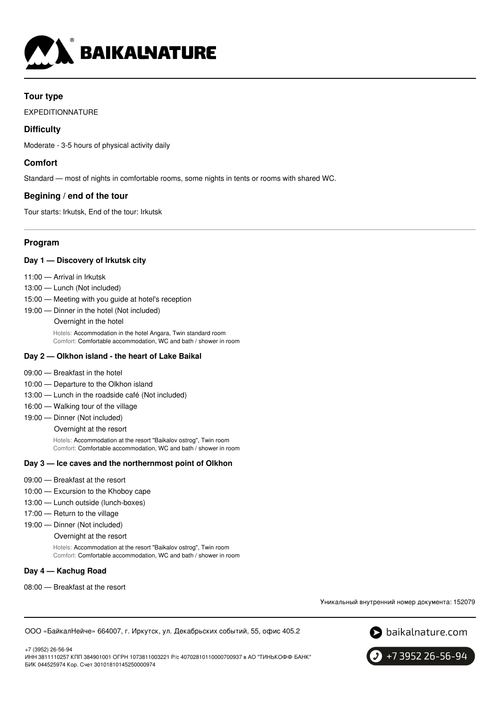

# **Tour type**

EXPEDITIONNATURE

# **Difficulty**

Moderate - 3-5 hours of physical activity daily

# **Comfort**

Standard — most of nights in comfortable rooms, some nights in tents or rooms with shared WC.

# **Begining / end of the tour**

Tour starts: Irkutsk, End of the tour: Irkutsk

# **Program**

# **Day 1 — Discovery of Irkutsk city**

- 11:00 Arrival in Irkutsk
- 13:00 Lunch (Not included)
- 15:00 Meeting with you guide at hotel's reception
- 19:00 Dinner in the hotel (Not included)
	- Overnight in the hotel

Hotels: Accommodation in the hotel Angara, Twin standard room Comfort: Comfortable accommodation, WC and bath / shower in room

### **Day 2 — Olkhon island - the heart of Lake Baikal**

- 09:00 Breakfast in the hotel
- 10:00 Departure to the Olkhon island
- 13:00 Lunch in the roadside café (Not included)
- 16:00 Walking tour of the village
- 19:00 Dinner (Not included)
	- Overnight at the resort

Hotels: Accommodation at the resort "Baikalov ostrog", Twin room Comfort: Comfortable accommodation, WC and bath / shower in room

### **Day 3 — Ice caves and the northernmost point of Olkhon**

- 09:00 Breakfast at the resort
- 10:00 Excursion to the Khoboy cape
- 13:00 Lunch outside (lunch-boxes)
- 17:00 Return to the village
- 19:00 Dinner (Not included)

#### Overnight at the resort

Hotels: Accommodation at the resort "Baikalov ostrog", Twin room Comfort: Comfortable accommodation, WC and bath / shower in room

#### **Day 4 — Kachug Road**

08:00 — Breakfast at the resort

Уникальный внутренний номер документа: 152079

ООО «БайкалНейче» 664007, г. Иркутск, ул. Декабрьских событий, 55, офис 405.2





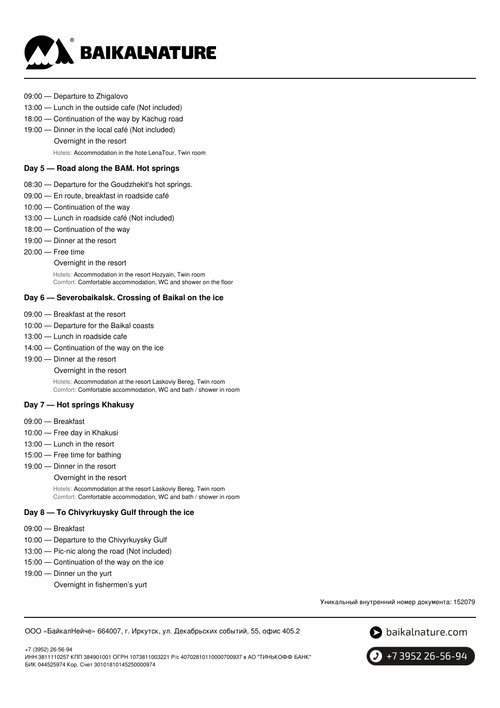

- 09:00 Departure to Zhigalovo
- 13:00 Lunch in the outside cafe (Not included)
- 18:00 Continuation of the way by Kachug road
- 19:00 Dinner in the local café (Not included)
	- Overnight in the resort

Hotels: Accommodation in the hote LenaTour, Twin room

### **Day 5 — Road along the BAM. Hot springs**

- 08:30 Departure for the Goudzhekit's hot springs.
- 09:00 En route, breakfast in roadside café
- 10:00 Continuation of the way
- 13:00 Lunch in roadside café (Not included)
- 18:00 Continuation of the way
- 19:00 Dinner at the resort
- 20:00 Free time
	- Overnight in the resort

Hotels: Accommodation in the resort Hozyain, Twin room Comfort: Comfortable accommodation, WC and shower on the floor

# **Day 6 — Severobaikalsk. Crossing of Baikal on the ice**

- 09:00 Breakfast at the resort
- 10:00 Departure for the Baikal coasts
- 13:00 Lunch in roadside cafe
- 14:00 Continuation of the way on the ice
- 19:00 Dinner at the resort

Overnight in the resort

Hotels: Accommodation at the resort Laskoviy Bereg, Twin room Comfort: Comfortable accommodation, WC and bath / shower in room

#### **Day 7 — Hot springs Khakusy**

- 09:00 Breakfast
- 10:00 Free day in Khakusi
- 13:00 Lunch in the resort
- 15:00 Free time for bathing
- 19:00 Dinner in the resort

#### Overnight in the resort

Hotels: Accommodation at the resort Laskoviy Bereg, Twin room Comfort: Comfortable accommodation, WC and bath / shower in room

# **Day 8 — To Chivyrkuysky Gulf through the ice**

- 09:00 Breakfast
- 10:00 Departure to the Chivyrkuysky Gulf
- 13:00 Pic-nic along the road (Not included)
- 15:00 Continuation of the way on the ice
- 19:00 Dinner un the yurt
	- Overnight in fishermen's yurt

Уникальный внутренний номер документа: 152079

ООО «БайкалНейче» 664007, г. Иркутск, ул. Декабрьских событий, 55, офис 405.2



+7 (3952) 26-56-94 ИНН 3811110257 КПП 384901001 ОГРН 1073811003221 Р/с 40702810110000700937 в АО "ТИНЬКОФФ БАНК" БИК 044525974 Кор. Счет 30101810145250000974

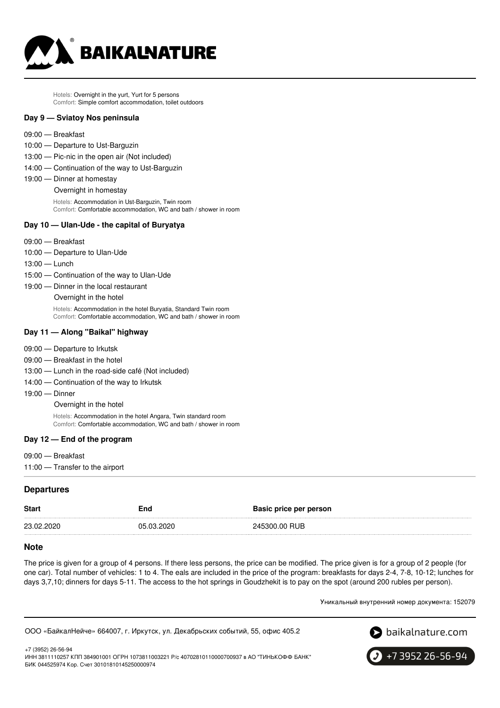

Hotels: Overnight in the yurt, Yurt for 5 persons Comfort: Simple comfort accommodation, toilet outdoors

#### **Day 9 — Sviatoy Nos peninsula**

- 09:00 Breakfast
- 10:00 Departure to Ust-Barguzin
- 13:00 Pic-nic in the open air (Not included)
- 14:00 Continuation of the way to Ust-Barguzin
- 19:00 Dinner at homestay
	- Overnight in homestay

Hotels: Accommodation in Ust-Barguzin, Twin room Comfort: Comfortable accommodation, WC and bath / shower in room

# **Day 10 — Ulan-Ude - the capital of Buryatya**

- 09:00 Breakfast
- 10:00 Departure to Ulan-Ude
- 13:00 Lunch
- 15:00 Continuation of the way to Ulan-Ude
- 19:00 Dinner in the local restaurant

Overnight in the hotel

Hotels: Accommodation in the hotel Buryatia, Standard Twin room Comfort: Comfortable accommodation, WC and bath / shower in room

#### **Day 11 — Along "Baikal" highway**

- 09:00 Departure to Irkutsk
- 09:00 Breakfast in the hotel
- 13:00 Lunch in the road-side café (Not included)
- 14:00 Continuation of the way to Irkutsk
- 19:00 Dinner

Overnight in the hotel

Hotels: Accommodation in the hotel Angara, Twin standard room Comfort: Comfortable accommodation, WC and bath / shower in room

#### **Day 12 — End of the program**

- 09:00 Breakfast
- 11:00 Transfer to the airport

#### **Departures**

+7 (3952) 26-56-94

| <b>Start</b> | End        | <b>Basic price per person</b> |
|--------------|------------|-------------------------------|
| 23.02.2020   | 05.03.2020 | 245300.00 RUB                 |

## **Note**

The price is given for a group of 4 persons. If there less persons, the price can be modified. The price given is for a group of 2 people (for one car). Total number of vehicles: 1 to 4. The eals are included in the price of the program: breakfasts for days 2-4, 7-8, 10-12; lunches for days 3,7,10; dinners for days 5-11. The access to the hot springs in Goudzhekit is to pay on the spot (around 200 rubles per person).

Уникальный внутренний номер документа: 152079

ООО «БайкалНейче» 664007, г. Иркутск, ул. Декабрьских событий, 55, офис 405.2



ИНН 3811110257 КПП 384901001 ОГРН 1073811003221 Р/с 40702810110000700937 в АО "ТИНЬКОФФ БАНК" БИК 044525974 Кор. Счет 30101810145250000974

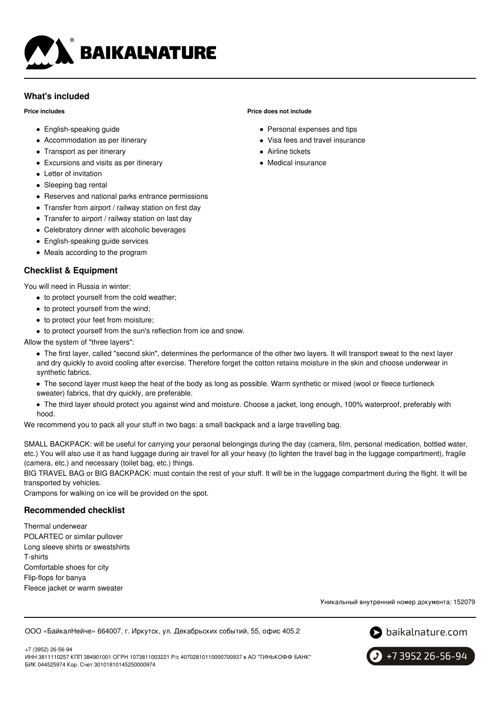

# **What's included**

#### **Price includes**

- English-speaking guide
- Accommodation as per itinerary
- Transport as per itinerary
- Excursions and visits as per itinerary
- Letter of invitation
- Sleeping bag rental
- Reserves and national parks entrance permissions
- Transfer from airport / railway station on first day
- Transfer to airport / railway station on last day
- Celebratory dinner with alcoholic beverages
- English-speaking guide services
- Meals according to the program

# **Checklist & Equipment**

You will need in Russia in winter:

- to protect yourself from the cold weather;
- to protect yourself from the wind;
- to protect your feet from moisture;
- to protect yourself from the sun's reflection from ice and snow.

# Allow the system of "three layers":

- The first layer, called "second skin", determines the performance of the other two layers. It will transport sweat to the next layer and dry quickly to avoid cooling after exercise. Therefore forget the cotton retains moisture in the skin and choose underwear in synthetic fabrics.
- The second layer must keep the heat of the body as long as possible. Warm synthetic or mixed (wool or fleece turtleneck sweater) fabrics, that dry quickly, are preferable.
- The third layer should protect you against wind and moisture. Choose a jacket, long enough, 100% waterproof, preferably with hood.

We recommend you to pack all your stuff in two bags: a small backpack and a large travelling bag.

SMALL BACKPACK: will be useful for carrying your personal belongings during the day (camera, film, personal medication, bottled water, etc.) You will also use it as hand luggage during air travel for all your heavy (to lighten the travel bag in the luggage compartment), fragile (camera, etc.) and necessary (toilet bag, etc.) things.

BIG TRAVEL BAG or BIG BACKPACK: must contain the rest of your stuff. It will be in the luggage compartment during the flight. It will be transported by vehicles.

Crampons for walking on ice will be provided on the spot.

# **Recommended checklist**

Thermal underwear POLARTEC or similar pullover Long sleeve shirts or sweatshirts T-shirts Comfortable shoes for city Flip-flops for banya Fleece jacket or warm sweater

Уникальный внутренний номер документа: 152079

ООО «БайкалНейче» 664007, г. Иркутск, ул. Декабрьских событий, 55, офис 405.2



+7 3952 26-56-94

+7 (3952) 26-56-94 ИНН 3811110257 КПП 384901001 ОГРН 1073811003221 Р/с 40702810110000700937 в АО "ТИНЬКОФФ БАНК" БИК 044525974 Кор. Счет 30101810145250000974

# **Price does not include**

- Personal expenses and tips
- Visa fees and travel insurance
- Airline tickets
- Medical insurance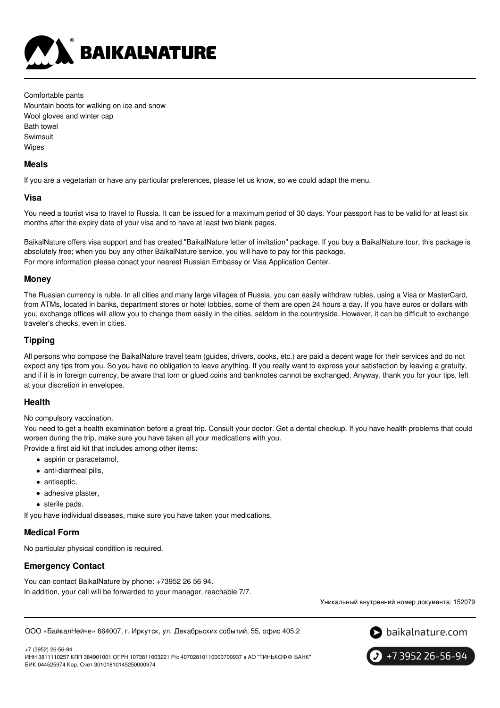

Comfortable pants Mountain boots for walking on ice and snow Wool gloves and winter cap Bath towel Swimsuit Wipes

# **Meals**

If you are a vegetarian or have any particular preferences, please let us know, so we could adapt the menu.

# **Visa**

You need a tourist visa to travel to Russia. It can be issued for a maximum period of 30 days. Your passport has to be valid for at least six months after the expiry date of your visa and to have at least two blank pages.

BaikalNature offers visa support and has created "BaikalNature letter of invitation" package. If you buy a BaikalNature tour, this package is absolutely free; when you buy any other BaikalNature service, you will have to pay for this package. For more information please conact your nearest Russian Embassy or Visa Application Center.

# **Money**

The Russian currency is ruble. In all cities and many large villages of Russia, you can easily withdraw rubles, using a Visa or MasterCard, from ATMs, located in banks, department stores or hotel lobbies, some of them are open 24 hours a day. If you have euros or dollars with you, exchange offices will allow you to change them easily in the cities, seldom in the countryside. However, it can be difficult to exchange traveler's checks, even in cities.

# **Tipping**

All persons who compose the BaikalNature travel team (guides, drivers, cooks, etc.) are paid a decent wage for their services and do not expect any tips from you. So you have no obligation to leave anything. If you really want to express your satisfaction by leaving a gratuity, and if it is in foreign currency, be aware that torn or glued coins and banknotes cannot be exchanged. Anyway, thank you for your tips, left at your discretion in envelopes.

# **Health**

No compulsory vaccination.

You need to get a health examination before a great trip. Consult your doctor. Get a dental checkup. If you have health problems that could worsen during the trip, make sure you have taken all your medications with you. Provide a first aid kit that includes among other items:

- aspirin or paracetamol,
- anti-diarrheal pills,
- antiseptic.
- adhesive plaster,
- sterile pads.

If you have individual diseases, make sure you have taken your medications.

## **Medical Form**

No particular physical condition is required.

# **Emergency Contact**

You can contact BaikalNature by phone: +73952 26 56 94. In addition, your call will be forwarded to your manager, reachable 7/7.

Уникальный внутренний номер документа: 152079

ООО «БайкалНейче» 664007, г. Иркутск, ул. Декабрьских событий, 55, офис 405.2

 $\bullet$  baikalnature.com